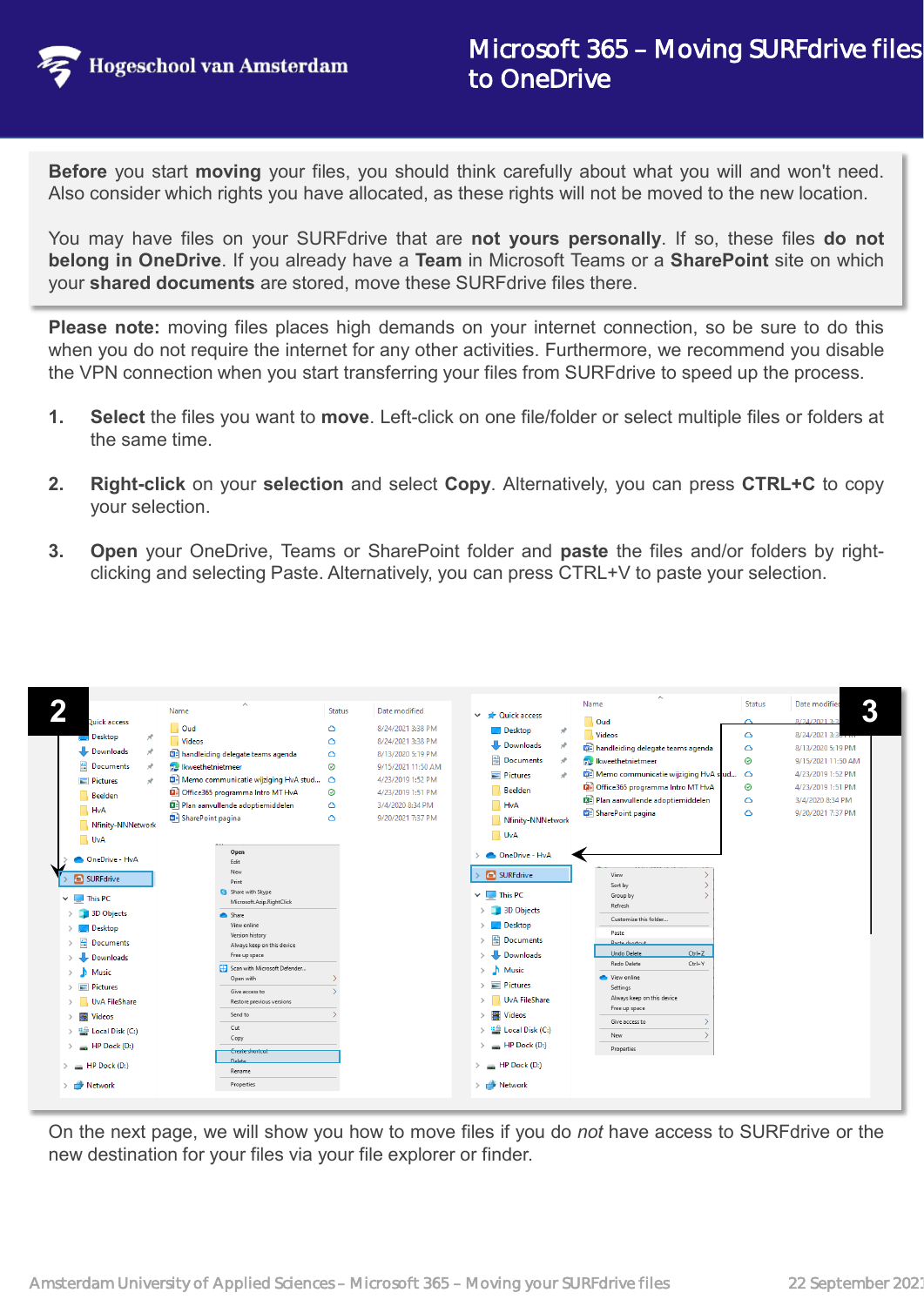

**Before** you start **moving** your files, you should think carefully about what you will and won't need. Also consider which rights you have allocated, as these rights will not be moved to the new location.

You may have files on your SURFdrive that are **not yours personally**. If so, these files **do not belong in OneDrive**. If you already have a **Team** in Microsoft Teams or a **SharePoint** site on which your **shared documents** are stored, move these SURFdrive files there.

**Please note:** moving files places high demands on your internet connection, so be sure to do this when you do not require the internet for any other activities. Furthermore, we recommend you disable the VPN connection when you start transferring your files from SURFdrive to speed up the process.

- **1. Select** the files you want to **move**. Left-click on one file/folder or select multiple files or folders at the same time.
- **2. Right-click** on your **selection** and select **Copy**. Alternatively, you can press **CTRL+C** to copy your selection.
- **3. Open** your OneDrive, Teams or SharePoint folder and **paste** the files and/or folders by rightclicking and selecting Paste. Alternatively, you can press CTRL+V to paste your selection.



On the next page, we will show you how to move files if you do *not* have access to SURFdrive or the new destination for your files via your file explorer or finder.